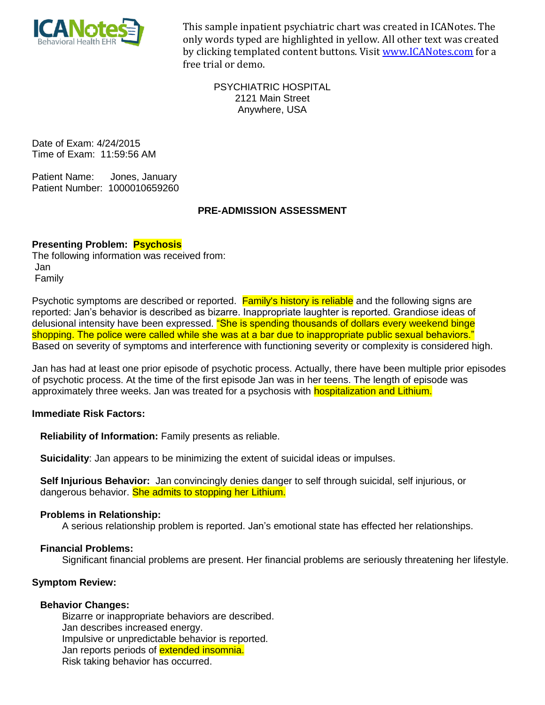

This sample inpatient psychiatric chart was created in ICANotes. The only words typed are highlighted in yellow. All other text was created by clicking templated content buttons. Visit www.ICANotes.com for a free trial or demo.

PSYCHIATRIC HOSPITAL 2121 Main Street Anywhere, USA

Date of Exam: 4/24/2015 Time of Exam: 11:59:56 AM

Patient Name: Jones, January Patient Number: 1000010659260

# **PRE-ADMISSION ASSESSMENT**

# **Presenting Problem: Psychosis**

The following information was received from: Jan Family

Psychotic symptoms are described or reported. Family's history is reliable and the following signs are reported: Jan's behavior is described as bizarre. Inappropriate laughter is reported. Grandiose ideas of delusional intensity have been expressed. "She is spending thousands of dollars every weekend binge shopping. The police were called while she was at a bar due to inappropriate public sexual behaviors." Based on severity of symptoms and interference with functioning severity or complexity is considered high.

Jan has had at least one prior episode of psychotic process. Actually, there have been multiple prior episodes of psychotic process. At the time of the first episode Jan was in her teens. The length of episode was approximately three weeks. Jan was treated for a psychosis with hospitalization and Lithium.

## **Immediate Risk Factors:**

Reliability of Information: Family presents as reliable.

**Suicidality:** Jan appears to be minimizing the extent of suicidal ideas or impulses.

Self Injurious Behavior: Jan convincingly denies danger to self through suicidal, self injurious, or dangerous behavior. She admits to stopping her Lithium.

## **Problems in Relationship:**

A serious relationship problem is reported. Jan's emotional state has effected her relationships.

## **Financial Problems:**

Significant financial problems are present. Her financial problems are seriously threatening her lifestyle.

## **Symptom Review:**

## **Behavior Changes:**

Bizarre or inappropriate behaviors are described. Jan describes increased energy. Impulsive or unpredictable behavior is reported. Jan reports periods of **extended insomnia.** Risk taking behavior has occurred.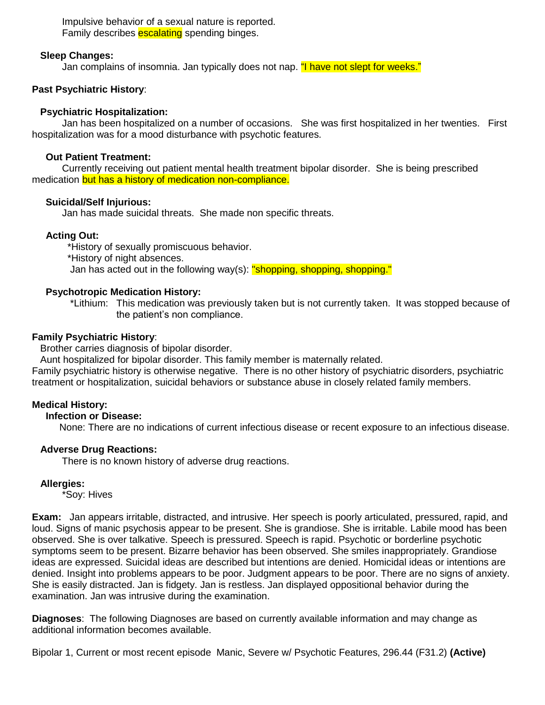Impulsive behavior of a sexual nature is reported. Family describes **escalating** spending binges.

# **Sleep Changes:**

Jan complains of insomnia. Jan typically does not nap. "I have not slept for weeks."

# **Past Psychiatric History:**

## **Psychiatric Hospitalization:**

Jan has been hospitalized on a number of occasions. She was first hospitalized in her twenties. First hospitalization was for a mood disturbance with psychotic features.

# **Out Patient Treatment:**

Currently receiving out patient mental health treatment bipolar disorder. She is being prescribed medication but has a history of medication non-compliance.

# **Suicidal/Self Injurious:**

Jan has made suicidal threats. She made non specific threats.

# **Acting Out:**

\*History of sexually promiscuous behavior. \*History of night absences. Jan has acted out in the following way(s): "shopping, shopping, shopping."

## **Psychotropic Medication History:**

\*Lithium: This medication was previously taken but is not currently taken. It was stopped because of the patient's non compliance.

# **Family Psychiatric History:**

Brother carries diagnosis of bipolar disorder.

Aunt hospitalized for bipolar disorder. This family member is maternally related.

Family psychiatric history is otherwise negative. There is no other history of psychiatric disorders, psychiatric treatment or hospitalization, suicidal behaviors or substance abuse in closely related family members.

# **Medical History:**

# **Infection or Disease:**

None: There are no indications of current infectious disease or recent exposure to an infectious disease.

# **Adverse Drug Reactions:**

There is no known history of adverse drug reactions.

## **Allergies:**

\*Soy: Hives

**Exam:** Jan appears irritable, distracted, and intrusive. Her speech is poorly articulated, pressured, rapid, and loud. Signs of manic psychosis appear to be present. She is grandiose. She is irritable. Labile mood has been observed. She is over talkative. Speech is pressured. Speech is rapid. Psychotic or borderline psychotic symptoms seem to be present. Bizarre behavior has been observed. She smiles inappropriately. Grandiose ideas are expressed. Suicidal ideas are described but intentions are denied. Homicidal ideas or intentions are denied. Insight into problems appears to be poor. Judgment appears to be poor. There are no signs of anxiety. She is easily distracted. Jan is fidgety. Jan is restless. Jan displayed oppositional behavior during the examination. Jan was intrusive during the examination.

**Diagnoses:** The following Diagnoses are based on currently available information and may change as additional information becomes available.

Bipolar 1, Current or most recent episode Manic, Severe w/ Psychotic Features, 296.44 (F31.2) (Active)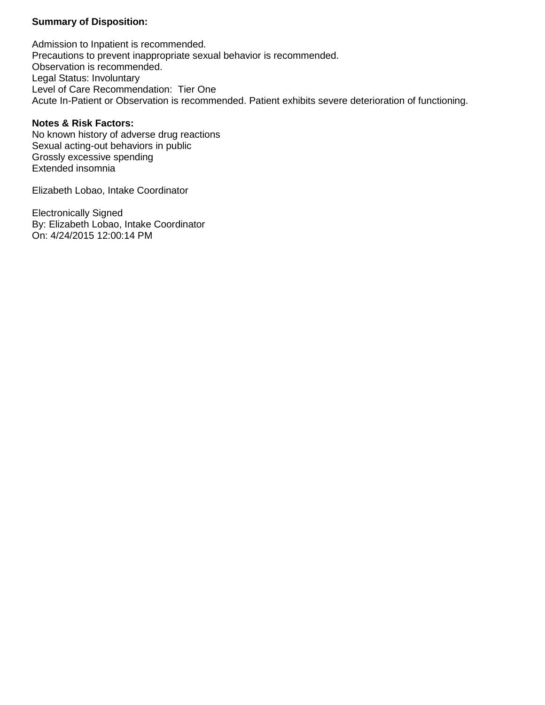# **Summary of Disposition:**

Admission to Inpatient is recommended. Precautions to prevent inappropriate sexual behavior is recommended. Observation is recommended. Legal Status: Involuntary Level of Care Recommendation: Tier One Acute In-Patient or Observation is recommended. Patient exhibits severe deterioration of functioning.

## **Notes & Risk Factors:**

No known history of adverse drug reactions Sexual acting-out behaviors in public Grossly excessive spending Extended insomnia

Elizabeth Lobao, Intake Coordinator

**Electronically Signed** By: Elizabeth Lobao, Intake Coordinator On: 4/24/2015 12:00:14 PM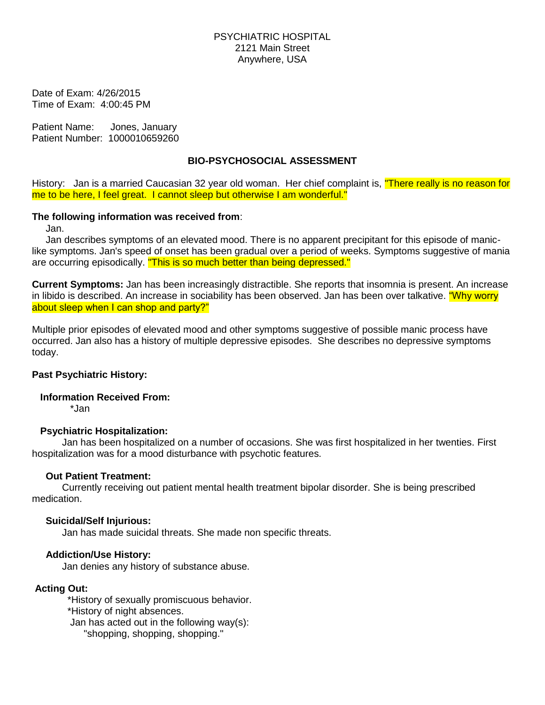Date of Exam: 4/26/2015 Time of Exam: 4:00:45 PM

Patient Name: Jones, January Patient Number: 1000010659260

# **BIO-PSYCHOSOCIAL ASSESSMENT**

History: Jan is a married Caucasian 32 year old woman. Her chief complaint is, "There really is no reason for me to be here, I feel great. I cannot sleep but otherwise I am wonderful."

## The following information was received from:

Jan.

Jan describes symptoms of an elevated mood. There is no apparent precipitant for this episode of maniclike symptoms. Jan's speed of onset has been gradual over a period of weeks. Symptoms suggestive of mania are occurring episodically. "This is so much better than being depressed."

Current Symptoms: Jan has been increasingly distractible. She reports that insomnia is present. An increase in libido is described. An increase in sociability has been observed. Jan has been over talkative. "Why worry about sleep when I can shop and party?"

Multiple prior episodes of elevated mood and other symptoms suggestive of possible manic process have occurred. Jan also has a history of multiple depressive episodes. She describes no depressive symptoms today.

## **Past Psychiatric History:**

**Information Received From:** 

\*Jan

# **Psychiatric Hospitalization:**

Jan has been hospitalized on a number of occasions. She was first hospitalized in her twenties. First hospitalization was for a mood disturbance with psychotic features.

## **Out Patient Treatment:**

Currently receiving out patient mental health treatment bipolar disorder. She is being prescribed medication.

# **Suicidal/Self Injurious:**

Jan has made suicidal threats. She made non specific threats.

# **Addiction/Use History:**

Jan denies any history of substance abuse.

## **Acting Out:**

\*History of sexually promiscuous behavior. \*History of night absences. Jan has acted out in the following  $way(s)$ : "shopping, shopping, shopping."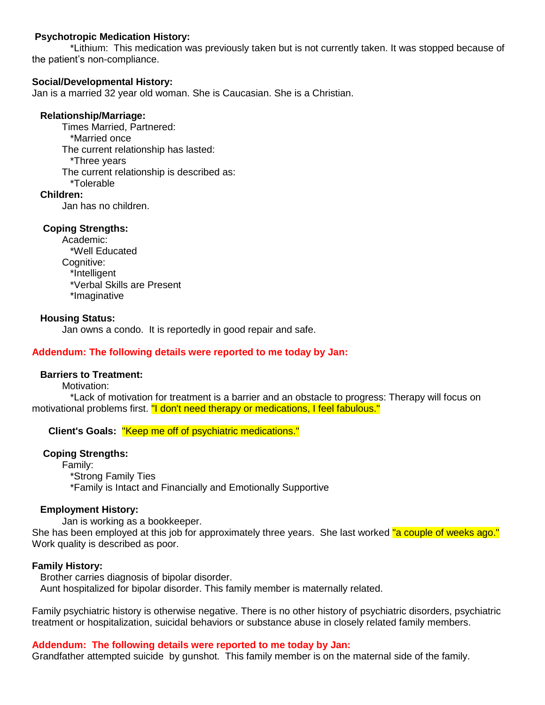# **Psychotropic Medication History:**

\*Lithium: This medication was previously taken but is not currently taken. It was stopped because of the patient's non-compliance.

# **Social/Developmental History:**

Jan is a married 32 year old woman. She is Caucasian. She is a Christian.

# **Relationship/Marriage:**

**Times Married. Partnered:** \*Married once The current relationship has lasted: \*Three years The current relationship is described as: \*Tolerable Children:

Jan has no children.

# **Coping Strengths:**

Academic: \*Well Educated Cognitive: \*Intelligent \*Verbal Skills are Present \*Imaginative

# **Housing Status:**

Jan owns a condo. It is reportedly in good repair and safe.

# Addendum: The following details were reported to me today by Jan:

## **Barriers to Treatment:**

Motivation:

\*Lack of motivation for treatment is a barrier and an obstacle to progress: Therapy will focus on motivational problems first. "I don't need therapy or medications, I feel fabulous."

# Client's Goals: "Keep me off of psychiatric medications."

## **Coping Strengths:**

Family: \*Strong Family Ties \*Family is Intact and Financially and Emotionally Supportive

## **Employment History:**

Jan is working as a bookkeeper. She has been employed at this job for approximately three years. She last worked "a couple of weeks ago." Work quality is described as poor.

## **Family History:**

Brother carries diagnosis of bipolar disorder. Aunt hospitalized for bipolar disorder. This family member is maternally related.

Family psychiatric history is otherwise negative. There is no other history of psychiatric disorders, psychiatric treatment or hospitalization, suicidal behaviors or substance abuse in closely related family members.

# Addendum: The following details were reported to me today by Jan:

Grandfather attempted suicide by gunshot. This family member is on the maternal side of the family.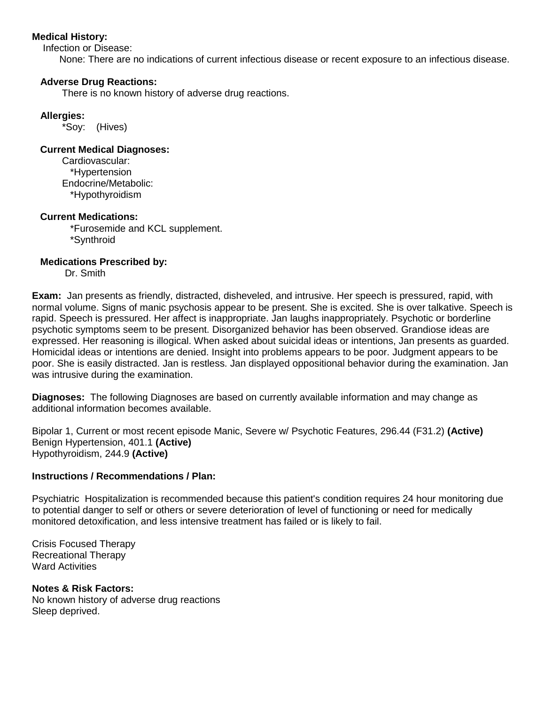# **Medical History:**

Infection or Disease:

None: There are no indications of current infectious disease or recent exposure to an infectious disease.

## **Adverse Drug Reactions:**

There is no known history of adverse drug reactions.

## **Allergies:**

\*Soy: (Hives)

## **Current Medical Diagnoses:**

Cardiovascular: \*Hypertension Endocrine/Metabolic: \*Hypothyroidism

## **Current Medications:**

\*Furosemide and KCL supplement. \*Synthroid

## **Medications Prescribed by:**

Dr. Smith

Exam: Jan presents as friendly, distracted, disheveled, and intrusive. Her speech is pressured, rapid, with normal volume. Signs of manic psychosis appear to be present. She is excited. She is over talkative. Speech is rapid. Speech is pressured. Her affect is inappropriate. Jan laughs inappropriately. Psychotic or borderline psychotic symptoms seem to be present. Disorganized behavior has been observed. Grandiose ideas are expressed. Her reasoning is illogical. When asked about suicidal ideas or intentions, Jan presents as quarded. Homicidal ideas or intentions are denied. Insight into problems appears to be poor. Judgment appears to be poor. She is easily distracted. Jan is restless. Jan displayed oppositional behavior during the examination. Jan was intrusive during the examination.

**Diagnoses:** The following Diagnoses are based on currently available information and may change as additional information becomes available.

Bipolar 1, Current or most recent episode Manic, Severe w/ Psychotic Features, 296.44 (F31.2) (Active) Benign Hypertension, 401.1 (Active) Hypothyroidism, 244.9 (Active)

#### **Instructions / Recommendations / Plan:**

Psychiatric Hospitalization is recommended because this patient's condition requires 24 hour monitoring due to potential danger to self or others or severe deterioration of level of functioning or need for medically monitored detoxification, and less intensive treatment has failed or is likely to fail.

**Crisis Focused Therapy Recreational Therapy Ward Activities** 

## **Notes & Risk Factors:**

No known history of adverse drug reactions Sleep deprived.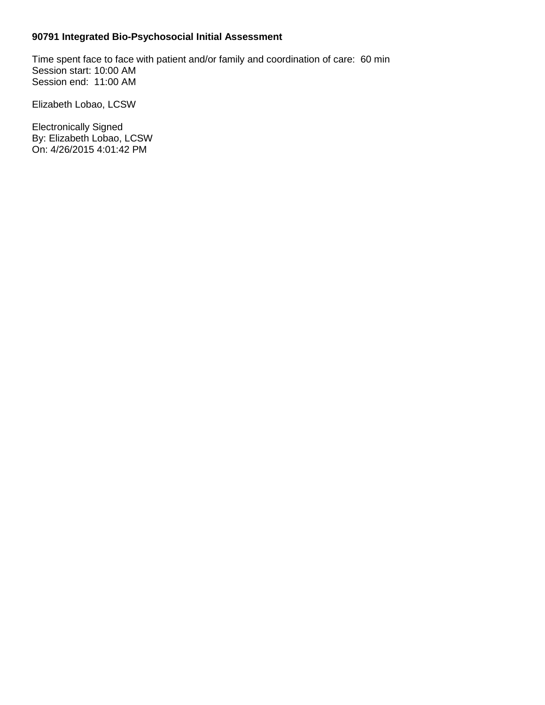# 90791 Integrated Bio-Psychosocial Initial Assessment

Time spent face to face with patient and/or family and coordination of care: 60 min Session start: 10:00 AM Session end: 11:00 AM

Elizabeth Lobao, LCSW

**Electronically Signed** By: Elizabeth Lobao, LCSW On: 4/26/2015 4:01:42 PM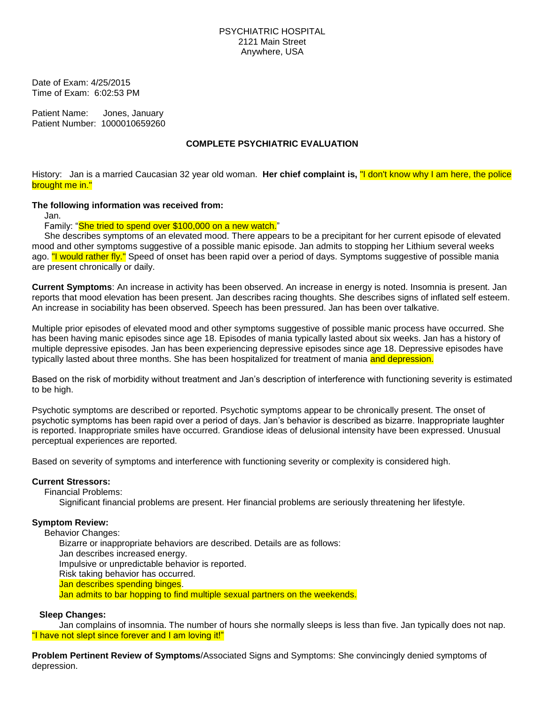Date of Exam: 4/25/2015 Time of Exam: 6:02:53 PM

Patient Name: Jones, January Patient Number: 1000010659260

## **COMPLETE PSYCHIATRIC EVALUATION**

History: Jan is a married Caucasian 32 year old woman. Her chief complaint is, "I don't know why I am here, the police brought me in."

#### The following information was received from:

Jan.

Family: "She tried to spend over \$100,000 on a new watch."

She describes symptoms of an elevated mood. There appears to be a precipitant for her current episode of elevated mood and other symptoms suggestive of a possible manic episode. Jan admits to stopping her Lithium several weeks ago. "I would rather fly." Speed of onset has been rapid over a period of days. Symptoms suggestive of possible mania are present chronically or daily.

**Current Symptoms**: An increase in activity has been observed. An increase in energy is noted. Insomnia is present. Jan reports that mood elevation has been present. Jan describes racing thoughts. She describes signs of inflated self esteem. An increase in sociability has been observed. Speech has been pressured. Jan has been over talkative.

Multiple prior episodes of elevated mood and other symptoms suggestive of possible manic process have occurred. She has been having manic episodes since age 18. Episodes of mania typically lasted about six weeks. Jan has a history of multiple depressive episodes. Jan has been experiencing depressive episodes since age 18. Depressive episodes have typically lasted about three months. She has been hospitalized for treatment of mania and depression.

Based on the risk of morbidity without treatment and Jan's description of interference with functioning severity is estimated to be high.

Psychotic symptoms are described or reported. Psychotic symptoms appear to be chronically present. The onset of psychotic symptoms has been rapid over a period of days. Jan's behavior is described as bizarre. Inappropriate laughter is reported. Inappropriate smiles have occurred. Grandiose ideas of delusional intensity have been expressed. Unusual perceptual experiences are reported.

Based on severity of symptoms and interference with functioning severity or complexity is considered high.

#### **Current Stressors:**

**Financial Problems:** 

Significant financial problems are present. Her financial problems are seriously threatening her lifestyle.

## **Symptom Review:**

**Behavior Changes:** Bizarre or inappropriate behaviors are described. Details are as follows: Jan describes increased energy. Impulsive or unpredictable behavior is reported. Risk taking behavior has occurred. Jan describes spending binges. Jan admits to bar hopping to find multiple sexual partners on the weekends.

#### **Sleep Changes:**

Jan complains of insomnia. The number of hours she normally sleeps is less than five. Jan typically does not nap. "I have not slept since forever and I am loving it!"

Problem Pertinent Review of Symptoms/Associated Signs and Symptoms: She convincingly denied symptoms of depression.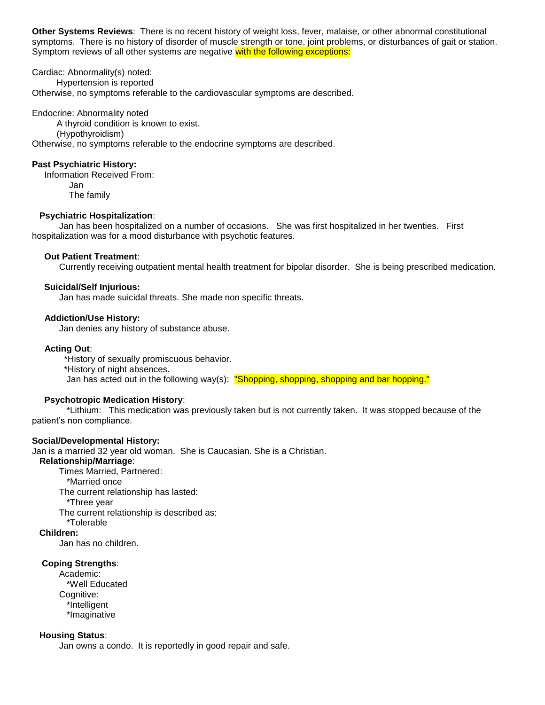Other Systems Reviews: There is no recent history of weight loss, fever, malaise, or other abnormal constitutional symptoms. There is no history of disorder of muscle strength or tone, joint problems, or disturbances of gait or station. Symptom reviews of all other systems are negative with the following exceptions:

Cardiac: Abnormality(s) noted: Hypertension is reported Otherwise, no symptoms referable to the cardiovascular symptoms are described.

#### Endocrine: Abnormality noted

A thyroid condition is known to exist.

(Hypothyroidism)

Otherwise, no symptoms referable to the endocrine symptoms are described.

#### **Past Psychiatric History:**

Information Received From: Jan The family

#### **Psychiatric Hospitalization:**

Jan has been hospitalized on a number of occasions. She was first hospitalized in her twenties. First hospitalization was for a mood disturbance with psychotic features.

#### **Out Patient Treatment:**

Currently receiving outpatient mental health treatment for bipolar disorder. She is being prescribed medication.

#### **Suicidal/Self Injurious:**

Jan has made suicidal threats. She made non specific threats.

#### **Addiction/Use History:**

Jan denies any history of substance abuse.

#### **Acting Out:**

\*History of sexually promiscuous behavior.

\*History of night absences.

Jan has acted out in the following way(s): "Shopping, shopping, shopping and bar hopping."

#### **Psychotropic Medication History:**

\*Lithium: This medication was previously taken but is not currently taken. It was stopped because of the patient's non compliance.

#### **Social/Developmental History:**

Jan is a married 32 year old woman. She is Caucasian. She is a Christian.

Relationship/Marriage:

Times Married. Partnered:

\*Married once

The current relationship has lasted:

\*Three year

The current relationship is described as:

\*Tolerable

## Children:

Jan has no children.

#### **Coping Strengths:**

Academic: \*Well Educated Coanitive: \*Intelligent \*Imaginative

#### **Housing Status:**

Jan owns a condo. It is reportedly in good repair and safe.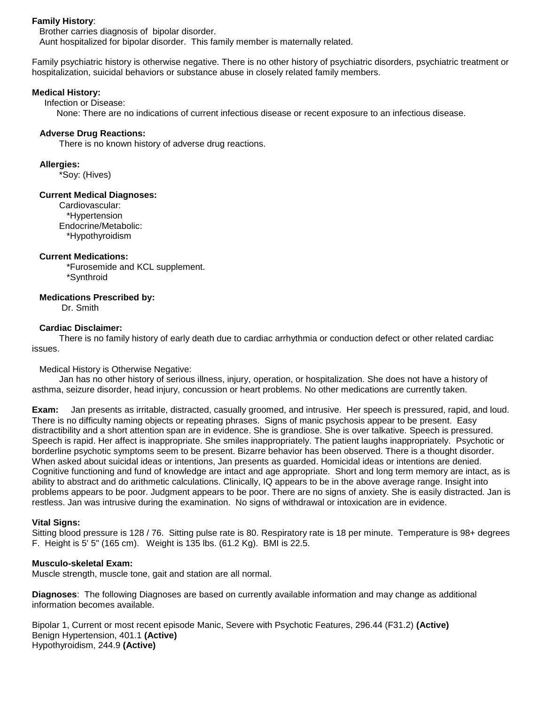#### **Family History:**

Brother carries diagnosis of bipolar disorder. Aunt hospitalized for bipolar disorder. This family member is maternally related.

Family psychiatric history is otherwise negative. There is no other history of psychiatric disorders, psychiatric treatment or hospitalization, suicidal behaviors or substance abuse in closely related family members.

#### **Medical History:**

Infection or Disease:

None: There are no indications of current infectious disease or recent exposure to an infectious disease.

#### **Adverse Drug Reactions:**

There is no known history of adverse drug reactions.

#### **Alleraies:**

\*Soy: (Hives)

#### **Current Medical Diagnoses:**

Cardiovascular: \*Hypertension Endocrine/Metabolic: \*Hypothyroidism

#### **Current Medications:**

\*Furosemide and KCL supplement. \*Synthroid

#### **Medications Prescribed by:**

Dr. Smith

#### **Cardiac Disclaimer:**

There is no family history of early death due to cardiac arrhythmia or conduction defect or other related cardiac issues.

#### Medical History is Otherwise Negative:

Jan has no other history of serious illness, injury, operation, or hospitalization. She does not have a history of asthma, seizure disorder, head injury, concussion or heart problems. No other medications are currently taken.

Jan presents as irritable, distracted, casually groomed, and intrusive. Her speech is pressured, rapid, and loud. Exam: There is no difficulty naming objects or repeating phrases. Signs of manic psychosis appear to be present. Easy distractibility and a short attention span are in evidence. She is grandiose. She is over talkative. Speech is pressured. Speech is rapid. Her affect is inappropriate. She smiles inappropriately. The patient laughs inappropriately. Psychotic or borderline psychotic symptoms seem to be present. Bizarre behavior has been observed. There is a thought disorder. When asked about suicidal ideas or intentions, Jan presents as guarded. Homicidal ideas or intentions are denied. Cognitive functioning and fund of knowledge are intact and age appropriate. Short and long term memory are intact, as is ability to abstract and do arithmetic calculations. Clinically, IQ appears to be in the above average range. Insight into problems appears to be poor. Judgment appears to be poor. There are no signs of anxiety. She is easily distracted. Jan is restless. Jan was intrusive during the examination. No signs of withdrawal or intoxication are in evidence.

#### **Vital Signs:**

Sitting blood pressure is 128 / 76. Sitting pulse rate is 80. Respiratory rate is 18 per minute. Temperature is 98+ degrees F. Height is 5' 5" (165 cm). Weight is 135 lbs. (61.2 Kg). BMI is 22.5.

## **Musculo-skeletal Exam:**

Muscle strength, muscle tone, gait and station are all normal.

Diagnoses: The following Diagnoses are based on currently available information and may change as additional information becomes available

Bipolar 1, Current or most recent episode Manic, Severe with Psychotic Features, 296.44 (F31.2) (Active) Benign Hypertension, 401.1 (Active) Hypothyroidism, 244.9 (Active)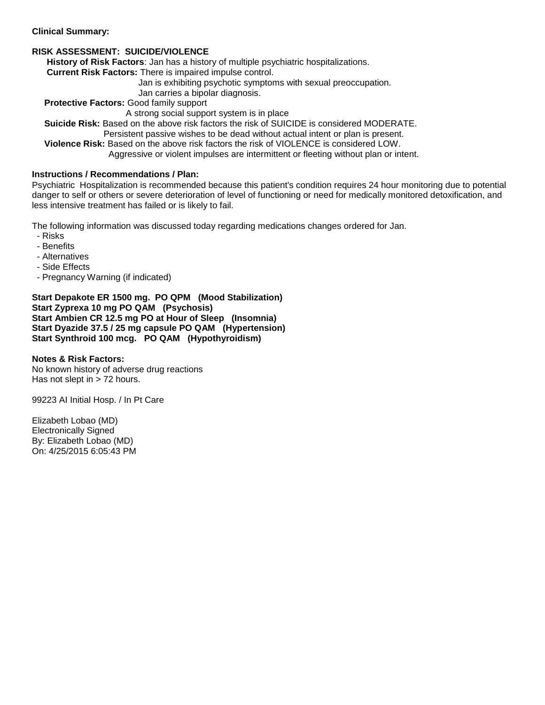#### **Clinical Summary:**

# **RISK ASSESSMENT: SUICIDE/VIOLENCE**

History of Risk Factors: Jan has a history of multiple psychiatric hospitalizations.

Current Risk Factors: There is impaired impulse control.

Jan is exhibiting psychotic symptoms with sexual preoccupation.

Jan carries a bipolar diagnosis.

Protective Factors: Good family support

A strong social support system is in place

Suicide Risk: Based on the above risk factors the risk of SUICIDE is considered MODERATE.

Persistent passive wishes to be dead without actual intent or plan is present.

Violence Risk: Based on the above risk factors the risk of VIOLENCE is considered LOW.

Aggressive or violent impulses are intermittent or fleeting without plan or intent.

# **Instructions / Recommendations / Plan:**

Psychiatric Hospitalization is recommended because this patient's condition requires 24 hour monitoring due to potential danger to self or others or severe deterioration of level of functioning or need for medically monitored detoxification, and less intensive treatment has failed or is likely to fail.

The following information was discussed today regarding medications changes ordered for Jan.

- Risks
- Benefits
- Alternatives
- Side Effects
- Pregnancy Warning (if indicated)

Start Depakote ER 1500 mg. PO QPM (Mood Stabilization) Start Zyprexa 10 mg PO QAM (Psychosis) Start Ambien CR 12.5 mg PO at Hour of Sleep (Insomnia) Start Dyazide 37.5 / 25 mg capsule PO QAM (Hypertension) Start Synthroid 100 mcg. PO QAM (Hypothyroidism)

## **Notes & Risk Factors:**

No known history of adverse drug reactions Has not slept in  $> 72$  hours.

99223 AI Initial Hosp. / In Pt Care

Elizabeth Lobao (MD) **Electronically Signed** By: Elizabeth Lobao (MD) On: 4/25/2015 6:05:43 PM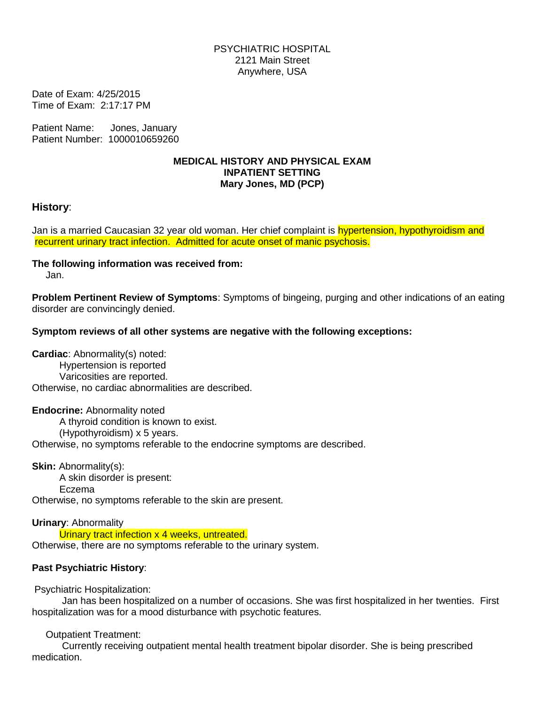Date of Exam: 4/25/2015 Time of Exam: 2:17:17 PM

Patient Name: Jones, January Patient Number: 1000010659260

# **MEDICAL HISTORY AND PHYSICAL EXAM INPATIENT SETTING** Mary Jones, MD (PCP)

# History:

Jan is a married Caucasian 32 year old woman. Her chief complaint is hypertension, hypothyroidism and recurrent urinary tract infection. Admitted for acute onset of manic psychosis.

# The following information was received from:

Jan.

**Problem Pertinent Review of Symptoms:** Symptoms of bingeing, purging and other indications of an eating disorder are convincingly denied.

# Symptom reviews of all other systems are negative with the following exceptions:

Cardiac: Abnormality(s) noted: Hypertension is reported Varicosities are reported. Otherwise, no cardiac abnormalities are described.

**Endocrine: Abnormality noted** A thyroid condition is known to exist. (Hypothyroidism) x 5 years. Otherwise, no symptoms referable to the endocrine symptoms are described.

**Skin: Abnormality(s):** A skin disorder is present: Eczema Otherwise, no symptoms referable to the skin are present.

**Urinary: Abnormality** Urinary tract infection x 4 weeks, untreated. Otherwise, there are no symptoms referable to the urinary system.

# **Past Psychiatric History:**

**Psychiatric Hospitalization:** 

Jan has been hospitalized on a number of occasions. She was first hospitalized in her twenties. First hospitalization was for a mood disturbance with psychotic features.

# **Outpatient Treatment:**

Currently receiving outpatient mental health treatment bipolar disorder. She is being prescribed medication.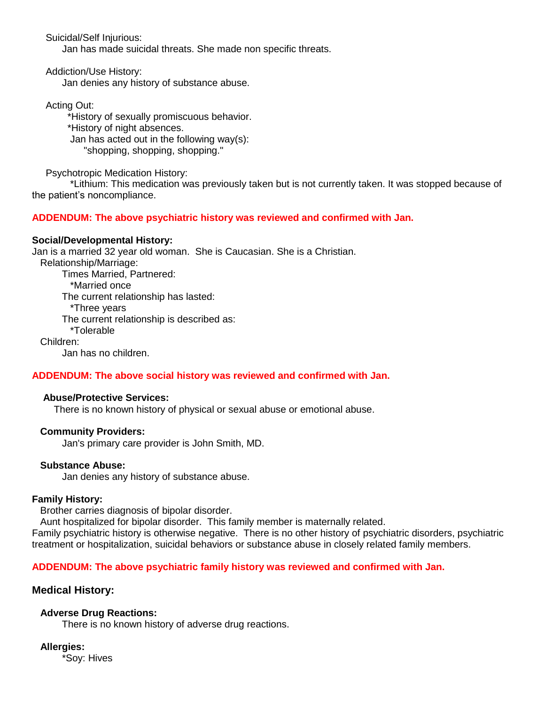Suicidal/Self Injurious:

Jan has made suicidal threats. She made non specific threats.

**Addiction/Use History:** 

Jan denies any history of substance abuse.

**Acting Out:** 

\*History of sexually promiscuous behavior. \*History of night absences. Jan has acted out in the following  $way(s)$ : "shopping, shopping, shopping."

**Psychotropic Medication History:** 

\*Lithium: This medication was previously taken but is not currently taken. It was stopped because of the patient's noncompliance.

# ADDENDUM: The above psychiatric history was reviewed and confirmed with Jan.

# **Social/Developmental History:**

Jan is a married 32 year old woman. She is Caucasian. She is a Christian.

Relationship/Marriage:

Times Married, Partnered: \*Married once The current relationship has lasted: \*Three years The current relationship is described as: \*Tolerable Children:

Jan has no children.

# ADDENDUM: The above social history was reviewed and confirmed with Jan.

## **Abuse/Protective Services:**

There is no known history of physical or sexual abuse or emotional abuse.

## **Community Providers:**

Jan's primary care provider is John Smith, MD.

## **Substance Abuse:**

Jan denies any history of substance abuse.

## **Family History:**

Brother carries diagnosis of bipolar disorder.

Aunt hospitalized for bipolar disorder. This family member is maternally related.

Family psychiatric history is otherwise negative. There is no other history of psychiatric disorders, psychiatric treatment or hospitalization, suicidal behaviors or substance abuse in closely related family members.

# ADDENDUM: The above psychiatric family history was reviewed and confirmed with Jan.

# **Medical History:**

# **Adverse Drug Reactions:**

There is no known history of adverse drug reactions.

## **Allergies:**

\*Soy: Hives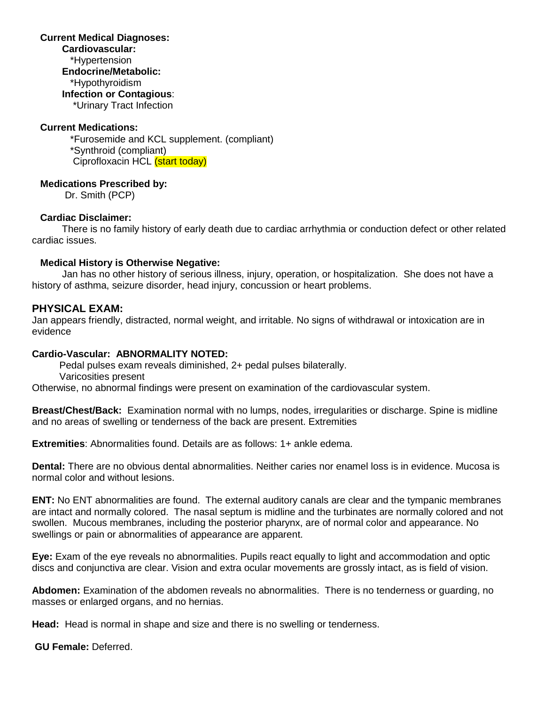## **Current Medical Diagnoses:** Cardiovascular: \*Hypertension **Endocrine/Metabolic:** \*Hypothyroidism **Infection or Contagious:** \*Urinary Tract Infection

# **Current Medications:**

\*Furosemide and KCL supplement. (compliant) \*Synthroid (compliant) Ciprofloxacin HCL (start today)

## **Medications Prescribed by:**

Dr. Smith (PCP)

# **Cardiac Disclaimer:**

There is no family history of early death due to cardiac arrhythmia or conduction defect or other related cardiac issues.

## **Medical History is Otherwise Negative:**

Jan has no other history of serious illness, injury, operation, or hospitalization. She does not have a history of asthma, seizure disorder, head injury, concussion or heart problems.

# **PHYSICAL EXAM:**

Jan appears friendly, distracted, normal weight, and irritable. No signs of withdrawal or intoxication are in evidence

## Cardio-Vascular: ABNORMALITY NOTED:

Pedal pulses exam reveals diminished, 2+ pedal pulses bilaterally. Varicosities present

Otherwise, no abnormal findings were present on examination of the cardiovascular system.

Breast/Chest/Back: Examination normal with no lumps, nodes, irregularities or discharge. Spine is midline and no areas of swelling or tenderness of the back are present. Extremities

**Extremities:** Abnormalities found. Details are as follows: 1+ ankle edema.

**Dental:** There are no obvious dental abnormalities. Neither caries nor enamel loss is in evidence. Mucosa is normal color and without lesions.

ENT: No ENT abnormalities are found. The external auditory canals are clear and the tympanic membranes are intact and normally colored. The nasal septum is midline and the turbinates are normally colored and not swollen. Mucous membranes, including the posterior pharynx, are of normal color and appearance. No swellings or pain or abnormalities of appearance are apparent.

Eye: Exam of the eye reveals no abnormalities. Pupils react equally to light and accommodation and optic discs and conjunctiva are clear. Vision and extra ocular movements are grossly intact, as is field of vision.

Abdomen: Examination of the abdomen reveals no abnormalities. There is no tenderness or guarding, no masses or enlarged organs, and no hernias.

**Head:** Head is normal in shape and size and there is no swelling or tenderness.

**GU Female: Deferred.**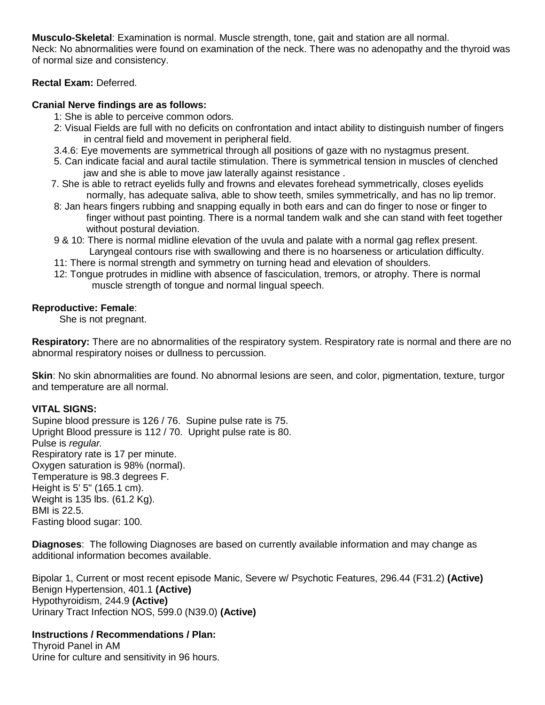**Musculo-Skeletal:** Examination is normal. Muscle strength, tone, gait and station are all normal.

Neck: No abnormalities were found on examination of the neck. There was no adenopathy and the thyroid was of normal size and consistency.

# Rectal Exam: Deferred.

# Cranial Nerve findings are as follows:

- 1: She is able to perceive common odors.
- 2: Visual Fields are full with no deficits on confrontation and intact ability to distinguish number of fingers in central field and movement in peripheral field.
- 3.4.6: Eye movements are symmetrical through all positions of gaze with no nystagmus present.
- 5. Can indicate facial and aural tactile stimulation. There is symmetrical tension in muscles of clenched jaw and she is able to move jaw laterally against resistance.
- 7. She is able to retract eyelids fully and frowns and elevates forehead symmetrically, closes eyelids normally, has adequate saliva, able to show teeth, smiles symmetrically, and has no lip tremor.
- 8: Jan hears fingers rubbing and snapping equally in both ears and can do finger to nose or finger to finger without past pointing. There is a normal tandem walk and she can stand with feet together without postural deviation.
- 9 & 10: There is normal midline elevation of the uvula and palate with a normal gag reflex present. Laryngeal contours rise with swallowing and there is no hoarseness or articulation difficulty.
- 11: There is normal strength and symmetry on turning head and elevation of shoulders.
- 12: Tongue protrudes in midline with absence of fasciculation, tremors, or atrophy. There is normal muscle strength of tongue and normal lingual speech.

# **Reproductive: Female:**

She is not pregnant.

Respiratory: There are no abnormalities of the respiratory system. Respiratory rate is normal and there are no abnormal respiratory noises or dullness to percussion.

Skin: No skin abnormalities are found. No abnormal lesions are seen, and color, pigmentation, texture, turgor and temperature are all normal.

# **VITAL SIGNS:**

Supine blood pressure is 126 / 76. Supine pulse rate is 75. Upright Blood pressure is 112 / 70. Upright pulse rate is 80. Pulse is regular. Respiratory rate is 17 per minute. Oxygen saturation is 98% (normal). Temperature is 98.3 degrees F. Height is 5' 5" (165.1 cm). Weight is 135 lbs. (61.2 Kg). **BMI** is 22.5. Fasting blood sugar: 100.

Diagnoses: The following Diagnoses are based on currently available information and may change as additional information becomes available.

Bipolar 1, Current or most recent episode Manic, Severe w/ Psychotic Features, 296.44 (F31.2) (Active) Benign Hypertension, 401.1 (Active) Hypothyroidism, 244.9 (Active) Urinary Tract Infection NOS, 599.0 (N39.0) (Active)

# **Instructions / Recommendations / Plan:**

Thyroid Panel in AM Urine for culture and sensitivity in 96 hours.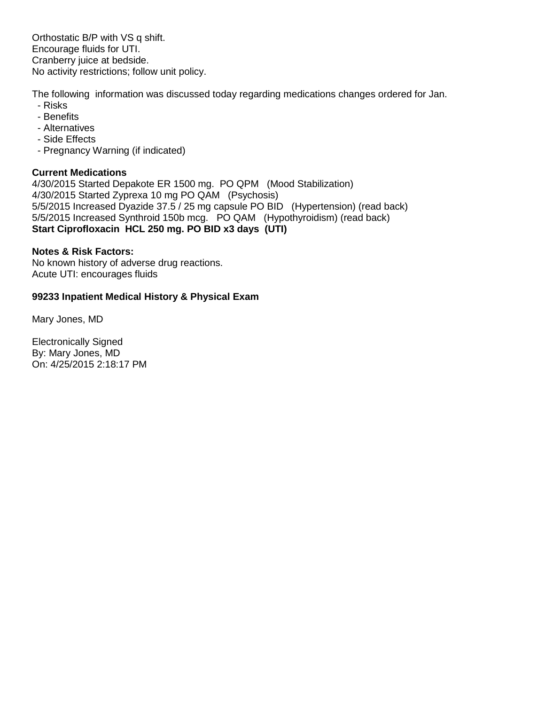Orthostatic B/P with VS q shift. Encourage fluids for UTI. Cranberry juice at bedside. No activity restrictions; follow unit policy.

The following information was discussed today regarding medications changes ordered for Jan.

- Risks
- Benefits
- Alternatives
- Side Fffects
- Pregnancy Warning (if indicated)

# **Current Medications**

4/30/2015 Started Depakote ER 1500 mg. PO QPM (Mood Stabilization) 4/30/2015 Started Zyprexa 10 mg PO QAM (Psychosis) 5/5/2015 Increased Dyazide 37.5 / 25 mg capsule PO BID (Hypertension) (read back) 5/5/2015 Increased Synthroid 150b mcg. PO QAM (Hypothyroidism) (read back) Start Ciprofloxacin HCL 250 mg. PO BID x3 days (UTI)

# **Notes & Risk Factors:**

No known history of adverse drug reactions. Acute UTI: encourages fluids

# 99233 Inpatient Medical History & Physical Exam

Mary Jones, MD

**Electronically Signed** By: Mary Jones, MD On: 4/25/2015 2:18:17 PM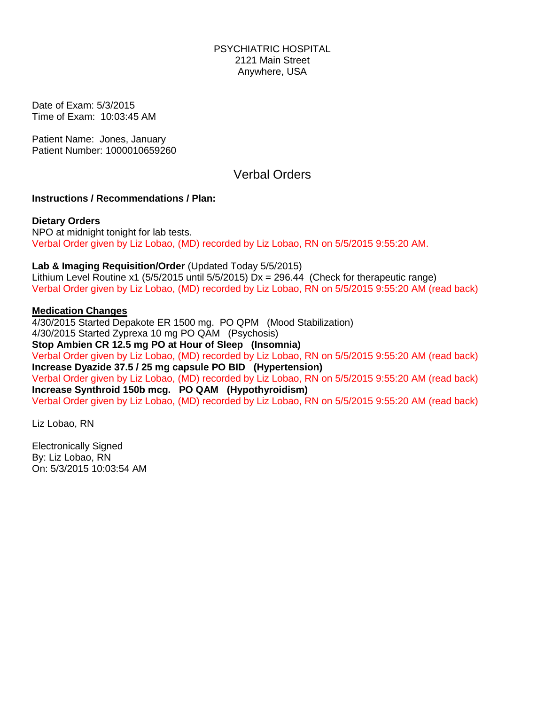Date of Exam: 5/3/2015 Time of Exam: 10:03:45 AM

Patient Name: Jones, January Patient Number: 1000010659260

# **Verbal Orders**

# **Instructions / Recommendations / Plan:**

**Dietary Orders** NPO at midnight tonight for lab tests. Verbal Order given by Liz Lobao, (MD) recorded by Liz Lobao, RN on 5/5/2015 9:55:20 AM.

Lab & Imaging Requisition/Order (Updated Today 5/5/2015)

Lithium Level Routine x1 (5/5/2015 until 5/5/2015)  $Dx = 296.44$  (Check for therapeutic range) Verbal Order given by Liz Lobao, (MD) recorded by Liz Lobao, RN on 5/5/2015 9:55:20 AM (read back)

# **Medication Changes**

4/30/2015 Started Depakote ER 1500 mg. PO QPM (Mood Stabilization) 4/30/2015 Started Zyprexa 10 mg PO QAM (Psychosis) Stop Ambien CR 12.5 mg PO at Hour of Sleep (Insomnia) Verbal Order given by Liz Lobao, (MD) recorded by Liz Lobao, RN on 5/5/2015 9:55:20 AM (read back) Increase Dyazide 37.5 / 25 mg capsule PO BID (Hypertension) Verbal Order given by Liz Lobao, (MD) recorded by Liz Lobao, RN on 5/5/2015 9:55:20 AM (read back) Increase Synthroid 150b mcg. PO QAM (Hypothyroidism) Verbal Order given by Liz Lobao, (MD) recorded by Liz Lobao, RN on 5/5/2015 9:55:20 AM (read back)

Liz Lobao, RN

**Electronically Signed** By: Liz Lobao, RN On: 5/3/2015 10:03:54 AM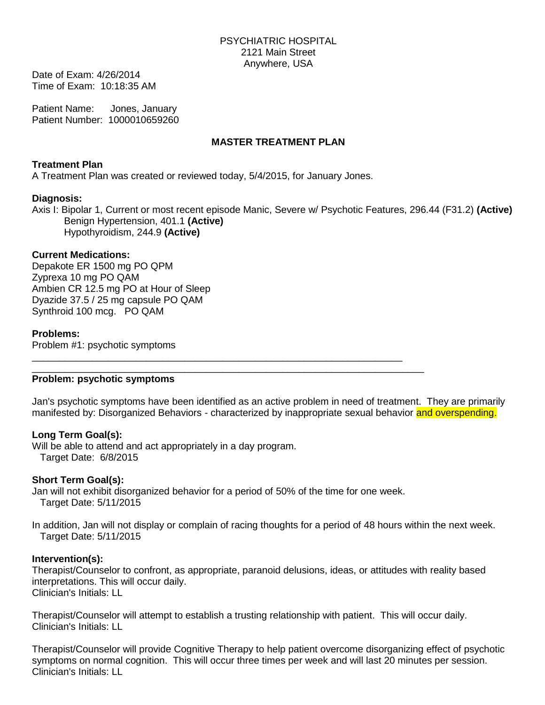Date of Exam: 4/26/2014 Time of Exam: 10:18:35 AM

**Patient Name:** Jones, January Patient Number: 1000010659260

# **MASTER TREATMENT PLAN**

# **Treatment Plan**

A Treatment Plan was created or reviewed today, 5/4/2015, for January Jones.

# **Diagnosis:**

Axis I: Bipolar 1, Current or most recent episode Manic, Severe w/ Psychotic Features, 296.44 (F31.2) (Active) Benign Hypertension, 401.1 (Active) Hypothyroidism, 244.9 (Active)

# **Current Medications:**

Depakote ER 1500 mg PO QPM Zyprexa 10 mg PO QAM Ambien CR 12.5 mg PO at Hour of Sleep Dyazide 37.5 / 25 mg capsule PO QAM Synthroid 100 mcg. PO QAM

# **Problems:**

Problem #1: psychotic symptoms

# Problem: psychotic symptoms

Jan's psychotic symptoms have been identified as an active problem in need of treatment. They are primarily manifested by: Disorganized Behaviors - characterized by inappropriate sexual behavior and overspending.

# Long Term Goal(s):

Will be able to attend and act appropriately in a day program. Target Date: 6/8/2015

# **Short Term Goal(s):**

Jan will not exhibit disorganized behavior for a period of 50% of the time for one week. Target Date: 5/11/2015

In addition, Jan will not display or complain of racing thoughts for a period of 48 hours within the next week. Target Date: 5/11/2015

## Intervention(s):

Therapist/Counselor to confront, as appropriate, paranoid delusions, ideas, or attitudes with reality based interpretations. This will occur daily. Clinician's Initials: LL

Therapist/Counselor will attempt to establish a trusting relationship with patient. This will occur daily. Clinician's Initials: LL

Therapist/Counselor will provide Cognitive Therapy to help patient overcome disorganizing effect of psychotic symptoms on normal cognition. This will occur three times per week and will last 20 minutes per session. Clinician's Initials: LL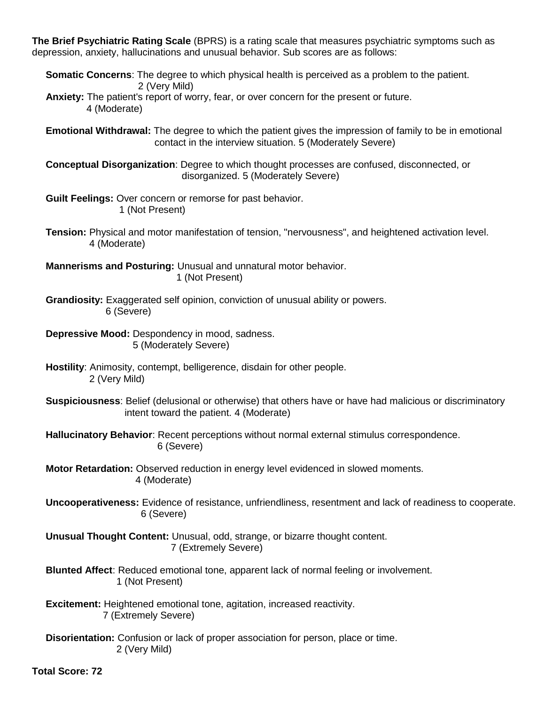The Brief Psychiatric Rating Scale (BPRS) is a rating scale that measures psychiatric symptoms such as depression, anxiety, hallucinations and unusual behavior. Sub scores are as follows:

**Somatic Concerns:** The degree to which physical health is perceived as a problem to the patient. 2 (Very Mild)

Anxiety: The patient's report of worry, fear, or over concern for the present or future. 4 (Moderate)

**Emotional Withdrawal:** The degree to which the patient gives the impression of family to be in emotional contact in the interview situation. 5 (Moderately Severe)

**Conceptual Disorganization:** Degree to which thought processes are confused, disconnected, or disorganized. 5 (Moderately Severe)

Guilt Feelings: Over concern or remorse for past behavior. 1 (Not Present)

Tension: Physical and motor manifestation of tension, "nervousness", and heightened activation level. 4 (Moderate)

Mannerisms and Posturing: Unusual and unnatural motor behavior. 1 (Not Present)

Grandiosity: Exaggerated self opinion, conviction of unusual ability or powers. 6 (Severe)

**Depressive Mood: Despondency in mood. sadness.** 5 (Moderately Severe)

- Hostility: Animosity, contempt, belligerence, disdain for other people. 2 (Very Mild)
- Suspiciousness: Belief (delusional or otherwise) that others have or have had malicious or discriminatory intent toward the patient. 4 (Moderate)

Hallucinatory Behavior: Recent perceptions without normal external stimulus correspondence. 6 (Severe)

Motor Retardation: Observed reduction in energy level evidenced in slowed moments. 4 (Moderate)

**Uncooperativeness:** Evidence of resistance, unfriendliness, resentment and lack of readiness to cooperate. 6 (Severe)

Unusual Thought Content: Unusual, odd, strange, or bizarre thought content. 7 (Extremely Severe)

Blunted Affect: Reduced emotional tone, apparent lack of normal feeling or involvement. 1 (Not Present)

- **Excitement:** Heightened emotional tone, agitation, increased reactivity. 7 (Extremely Severe)
- Disorientation: Confusion or lack of proper association for person, place or time. 2 (Very Mild)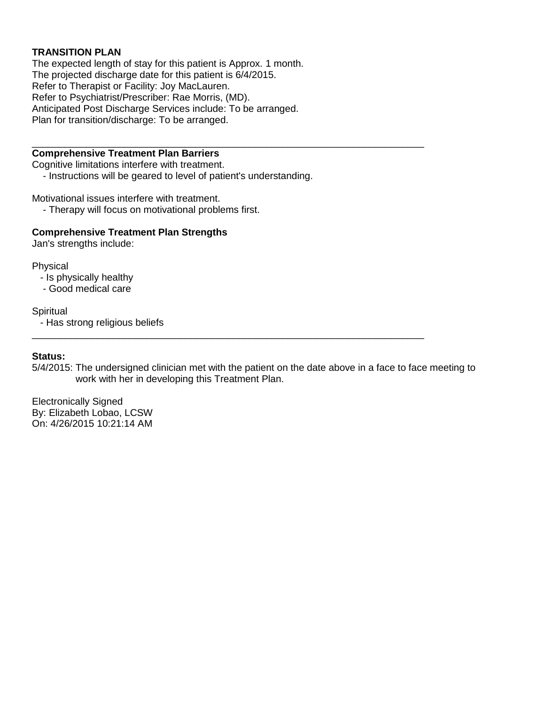# **TRANSITION PLAN**

The expected length of stay for this patient is Approx. 1 month. The projected discharge date for this patient is 6/4/2015. Refer to Therapist or Facility: Joy MacLauren. Refer to Psychiatrist/Prescriber: Rae Morris, (MD). Anticipated Post Discharge Services include: To be arranged. Plan for transition/discharge: To be arranged.

# **Comprehensive Treatment Plan Barriers**

Cognitive limitations interfere with treatment.

- Instructions will be geared to level of patient's understanding.

Motivational issues interfere with treatment.

- Therapy will focus on motivational problems first.

## **Comprehensive Treatment Plan Strengths**

Jan's strengths include:

Physical

- Is physically healthy

- Good medical care

## Spiritual

- Has strong religious beliefs

## **Status:**

5/4/2015: The undersigned clinician met with the patient on the date above in a face to face meeting to work with her in developing this Treatment Plan.

**Electronically Signed** By: Elizabeth Lobao, LCSW On: 4/26/2015 10:21:14 AM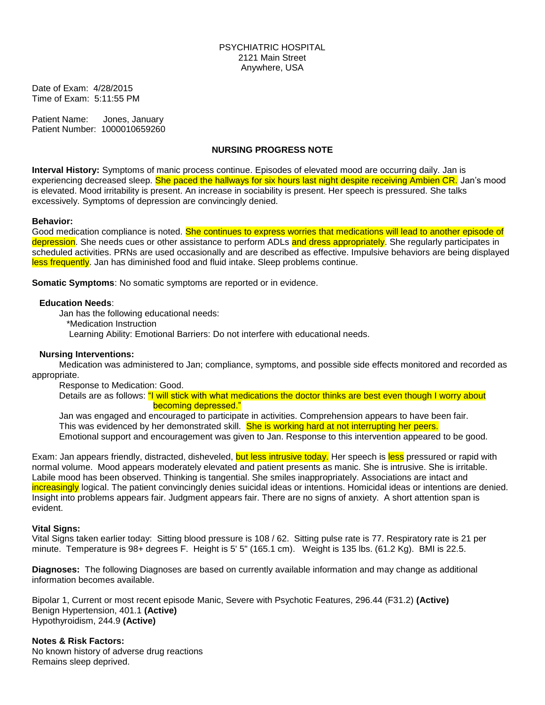Date of Exam: 4/28/2015 Time of Exam: 5:11:55 PM

Patient Name: Jones, January Patient Number: 1000010659260

## **NURSING PROGRESS NOTE**

Interval History: Symptoms of manic process continue. Episodes of elevated mood are occurring daily. Jan is experiencing decreased sleep. She paced the hallways for six hours last night despite receiving Ambien CR. Jan's mood is elevated. Mood irritability is present. An increase in sociability is present. Her speech is pressured. She talks excessively. Symptoms of depression are convincingly denied.

#### **Behavior:**

Good medication compliance is noted. She continues to express worries that medications will lead to another episode of depression. She needs cues or other assistance to perform ADLs and dress appropriately. She regularly participates in scheduled activities. PRNs are used occasionally and are described as effective. Impulsive behaviors are being displayed less frequently. Jan has diminished food and fluid intake. Sleep problems continue.

**Somatic Symptoms:** No somatic symptoms are reported or in evidence.

#### **Education Needs:**

Jan has the following educational needs:

\*Medication Instruction

Learning Ability: Emotional Barriers: Do not interfere with educational needs.

#### **Nursing Interventions:**

Medication was administered to Jan; compliance, symptoms, and possible side effects monitored and recorded as appropriate.

Response to Medication: Good.

Details are as follows: "I will stick with what medications the doctor thinks are best even though I worry about becoming depressed."

Jan was engaged and encouraged to participate in activities. Comprehension appears to have been fair. This was evidenced by her demonstrated skill. She is working hard at not interrupting her peers. Emotional support and encouragement was given to Jan. Response to this intervention appeared to be good.

Exam: Jan appears friendly, distracted, disheveled, but less intrusive today. Her speech is less pressured or rapid with normal volume. Mood appears moderately elevated and patient presents as manic. She is intrusive. She is irritable. Labile mood has been observed. Thinking is tangential. She smiles inappropriately. Associations are intact and increasingly logical. The patient convincingly denies suicidal ideas or intentions. Homicidal ideas or intentions are denied. Insight into problems appears fair. Judgment appears fair. There are no signs of anxiety. A short attention span is evident.

#### **Vital Signs:**

Vital Signs taken earlier today: Sitting blood pressure is 108 / 62. Sitting pulse rate is 77. Respiratory rate is 21 per minute. Temperature is 98+ degrees F. Height is 5' 5" (165.1 cm). Weight is 135 lbs. (61.2 Kg). BMI is 22.5.

Diagnoses: The following Diagnoses are based on currently available information and may change as additional information becomes available.

Bipolar 1, Current or most recent episode Manic, Severe with Psychotic Features, 296.44 (F31.2) (Active) Benign Hypertension, 401.1 (Active) Hypothyroidism, 244.9 (Active)

**Notes & Risk Factors:** No known history of adverse drug reactions Remains sleep deprived.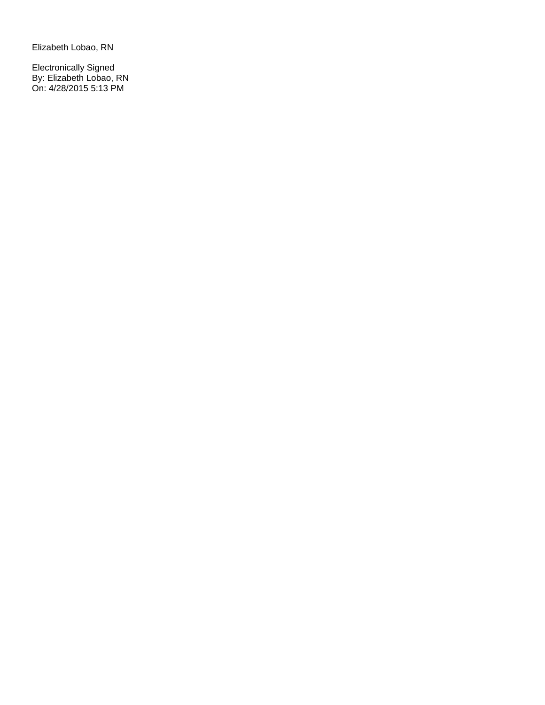Elizabeth Lobao, RN

Electronically Signed<br>By: Elizabeth Lobao, RN<br>On: 4/28/2015 5:13 PM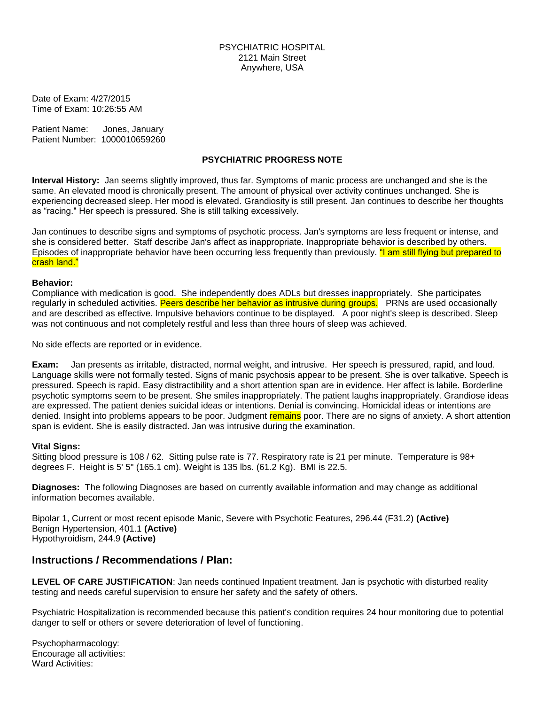Date of Exam: 4/27/2015 Time of Exam: 10:26:55 AM

Patient Name: Jones, January Patient Number: 1000010659260

#### **PSYCHIATRIC PROGRESS NOTE**

Interval History: Jan seems slightly improved, thus far. Symptoms of manic process are unchanged and she is the same. An elevated mood is chronically present. The amount of physical over activity continues unchanged. She is experiencing decreased sleep. Her mood is elevated. Grandiosity is still present. Jan continues to describe her thoughts as "racing." Her speech is pressured. She is still talking excessively.

Jan continues to describe signs and symptoms of psychotic process. Jan's symptoms are less frequent or intense, and she is considered better. Staff describe Jan's affect as inappropriate. Inappropriate behavior is described by others. Episodes of inappropriate behavior have been occurring less frequently than previously. "I am still flying but prepared to crash land."

#### Behavior:

Compliance with medication is good. She independently does ADLs but dresses inappropriately. She participates regularly in scheduled activities. Peers describe her behavior as intrusive during groups. PRNs are used occasionally and are described as effective. Impulsive behaviors continue to be displayed. A poor night's sleep is described. Sleep was not continuous and not completely restful and less than three hours of sleep was achieved.

No side effects are reported or in evidence.

Jan presents as irritable, distracted, normal weight, and intrusive. Her speech is pressured, rapid, and loud. Exam: Language skills were not formally tested. Signs of manic psychosis appear to be present. She is over talkative. Speech is pressured. Speech is rapid. Easy distractibility and a short attention span are in evidence. Her affect is labile. Borderline psychotic symptoms seem to be present. She smiles inappropriately. The patient laughs inappropriately. Grandiose ideas are expressed. The patient denies suicidal ideas or intentions. Denial is convincing. Homicidal ideas or intentions are denied. Insight into problems appears to be poor. Judgment remains poor. There are no signs of anxiety. A short attention span is evident. She is easily distracted. Jan was intrusive during the examination.

#### **Vital Signs:**

Sitting blood pressure is 108 / 62. Sitting pulse rate is 77. Respiratory rate is 21 per minute. Temperature is 98+ degrees F. Height is 5' 5" (165.1 cm). Weight is 135 lbs. (61.2 Kg). BMI is 22.5.

Diagnoses: The following Diagnoses are based on currently available information and may change as additional information becomes available.

Bipolar 1, Current or most recent episode Manic, Severe with Psychotic Features, 296.44 (F31.2) (Active) Benign Hypertension, 401.1 (Active) Hypothyroidism, 244.9 (Active)

## Instructions / Recommendations / Plan:

LEVEL OF CARE JUSTIFICATION: Jan needs continued Inpatient treatment. Jan is psychotic with disturbed reality testing and needs careful supervision to ensure her safety and the safety of others.

Psychiatric Hospitalization is recommended because this patient's condition requires 24 hour monitoring due to potential danger to self or others or severe deterioration of level of functioning.

Psychopharmacology: Encourage all activities: Ward Activities: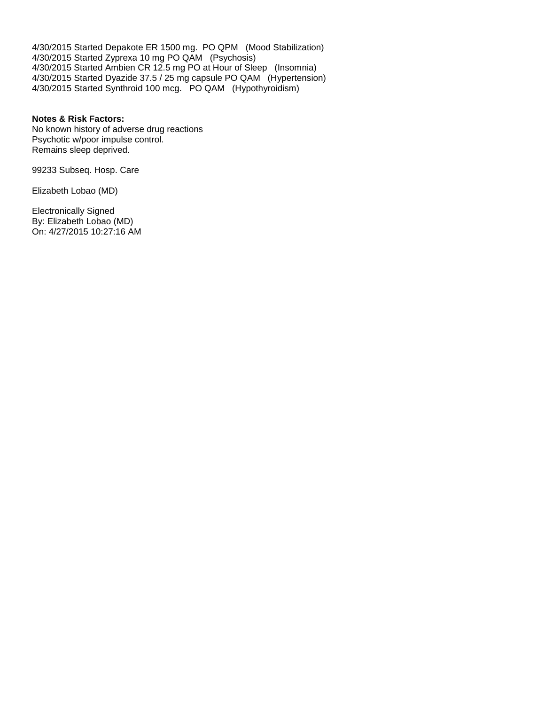4/30/2015 Started Depakote ER 1500 mg. PO QPM (Mood Stabilization) 4/30/2015 Started Zyprexa 10 mg PO QAM (Psychosis) 4/30/2015 Started Ambien CR 12.5 mg PO at Hour of Sleep (Insomnia) 4/30/2015 Started Dyazide 37.5 / 25 mg capsule PO QAM (Hypertension) 4/30/2015 Started Synthroid 100 mcg. PO QAM (Hypothyroidism)

#### **Notes & Risk Factors:**

No known history of adverse drug reactions Psychotic w/poor impulse control. Remains sleep deprived.

99233 Subseq. Hosp. Care

Elizabeth Lobao (MD)

**Electronically Signed** By: Elizabeth Lobao (MD) On: 4/27/2015 10:27:16 AM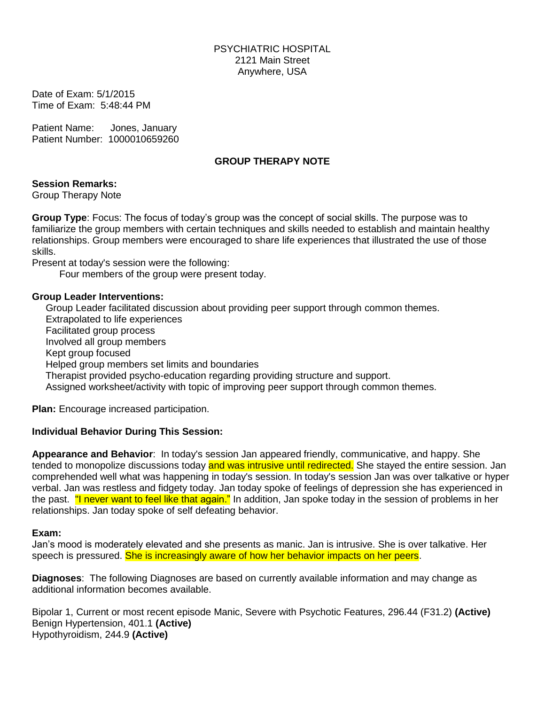Date of Exam: 5/1/2015 Time of Exam: 5:48:44 PM

**Patient Name:** Jones, January Patient Number: 1000010659260

# **GROUP THERAPY NOTE**

# **Session Remarks:**

**Group Therapy Note** 

Group Type: Focus: The focus of today's group was the concept of social skills. The purpose was to familiarize the group members with certain techniques and skills needed to establish and maintain healthy relationships. Group members were encouraged to share life experiences that illustrated the use of those skills.

Present at today's session were the following:

Four members of the group were present today.

# **Group Leader Interventions:**

Group Leader facilitated discussion about providing peer support through common themes. Extrapolated to life experiences Facilitated group process Involved all group members Kept group focused Helped group members set limits and boundaries Therapist provided psycho-education regarding providing structure and support. Assigned worksheet/activity with topic of improving peer support through common themes.

**Plan:** Encourage increased participation.

# **Individual Behavior During This Session:**

Appearance and Behavior: In today's session Jan appeared friendly, communicative, and happy. She tended to monopolize discussions today and was intrusive until redirected. She stayed the entire session. Jan comprehended well what was happening in today's session. In today's session Jan was over talkative or hyper verbal. Jan was restless and fidgety today. Jan today spoke of feelings of depression she has experienced in the past. "I never want to feel like that again." In addition, Jan spoke today in the session of problems in her relationships. Jan today spoke of self defeating behavior.

## Exam:

Jan's mood is moderately elevated and she presents as manic. Jan is intrusive. She is over talkative. Her speech is pressured. She is increasingly aware of how her behavior impacts on her peers.

Diagnoses: The following Diagnoses are based on currently available information and may change as additional information becomes available.

Bipolar 1, Current or most recent episode Manic, Severe with Psychotic Features, 296.44 (F31.2) (Active) Benign Hypertension, 401.1 (Active) Hypothyroidism, 244.9 (Active)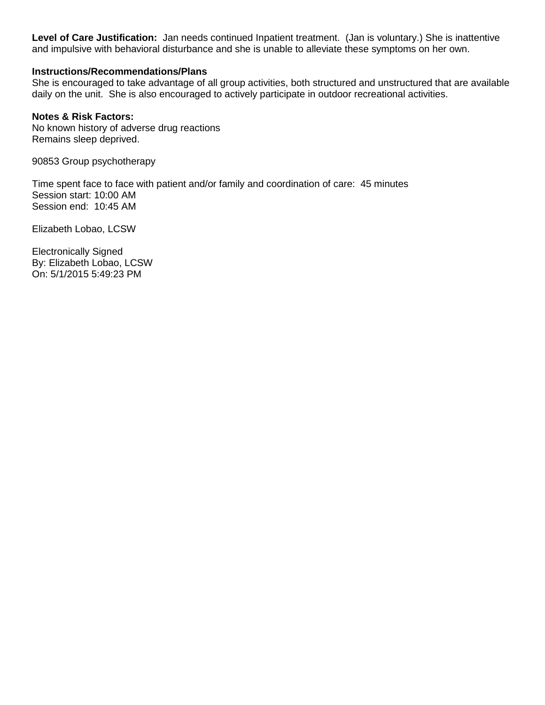Level of Care Justification: Jan needs continued Inpatient treatment. (Jan is voluntary.) She is inattentive and impulsive with behavioral disturbance and she is unable to alleviate these symptoms on her own.

# **Instructions/Recommendations/Plans**

She is encouraged to take advantage of all group activities, both structured and unstructured that are available daily on the unit. She is also encouraged to actively participate in outdoor recreational activities.

# **Notes & Risk Factors:**

No known history of adverse drug reactions Remains sleep deprived.

90853 Group psychotherapy

Time spent face to face with patient and/or family and coordination of care: 45 minutes Session start: 10:00 AM Session end: 10:45 AM

Elizabeth Lobao, LCSW

**Electronically Signed** By: Elizabeth Lobao, LCSW On: 5/1/2015 5:49:23 PM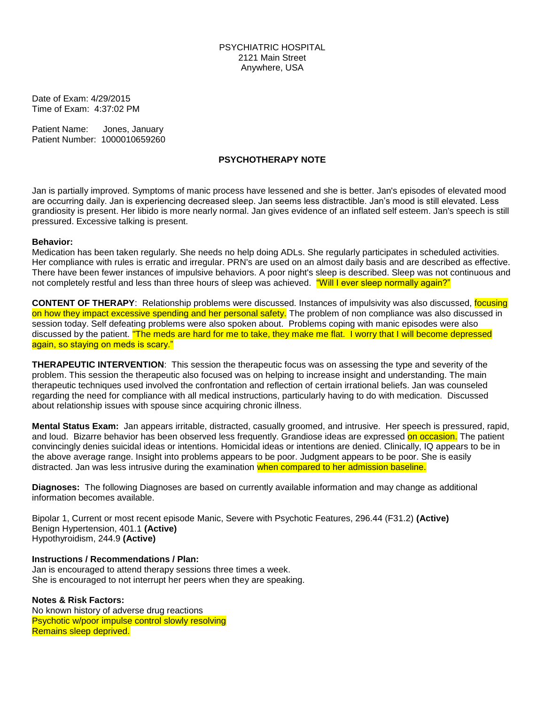Date of Exam: 4/29/2015 Time of Exam: 4:37:02 PM

Patient Name: Jones, January Patient Number: 1000010659260

#### **PSYCHOTHERAPY NOTE**

Jan is partially improved. Symptoms of manic process have lessened and she is better. Jan's episodes of elevated mood are occurring daily. Jan is experiencing decreased sleep. Jan seems less distractible. Jan's mood is still elevated. Less grandiosity is present. Her libido is more nearly normal. Jan gives evidence of an inflated self esteem. Jan's speech is still pressured. Excessive talking is present.

#### **Behavior:**

Medication has been taken regularly. She needs no help doing ADLs. She regularly participates in scheduled activities. Her compliance with rules is erratic and irregular. PRN's are used on an almost daily basis and are described as effective. There have been fewer instances of impulsive behaviors. A poor night's sleep is described. Sleep was not continuous and not completely restful and less than three hours of sleep was achieved. "Will I ever sleep normally again?"

**CONTENT OF THERAPY:** Relationship problems were discussed. Instances of impulsivity was also discussed, focusing on how they impact excessive spending and her personal safety. The problem of non compliance was also discussed in session today. Self defeating problems were also spoken about. Problems coping with manic episodes were also discussed by the patient. The meds are hard for me to take, they make me flat. I worry that I will become depressed again, so staying on meds is scary."

**THERAPEUTIC INTERVENTION:** This session the therapeutic focus was on assessing the type and severity of the problem. This session the therapeutic also focused was on helping to increase insight and understanding. The main therapeutic techniques used involved the confrontation and reflection of certain irrational beliefs. Jan was counseled regarding the need for compliance with all medical instructions, particularly having to do with medication. Discussed about relationship issues with spouse since acquiring chronic illness.

Mental Status Exam: Jan appears irritable, distracted, casually groomed, and intrusive. Her speech is pressured, rapid, and loud. Bizarre behavior has been observed less frequently. Grandiose ideas are expressed on occasion. The patient convincingly denies suicidal ideas or intentions. Homicidal ideas or intentions are denied. Clinically, IQ appears to be in the above average range. Insight into problems appears to be poor. Judgment appears to be poor. She is easily distracted. Jan was less intrusive during the examination when compared to her admission baseline.

Diagnoses: The following Diagnoses are based on currently available information and may change as additional information becomes available.

Bipolar 1, Current or most recent episode Manic, Severe with Psychotic Features, 296.44 (F31.2) (Active) Benign Hypertension, 401.1 (Active) Hypothyroidism, 244.9 (Active)

**Instructions / Recommendations / Plan:** 

Jan is encouraged to attend therapy sessions three times a week. She is encouraged to not interrupt her peers when they are speaking.

#### **Notes & Risk Factors:**

No known history of adverse drug reactions **Psychotic w/poor impulse control slowly resolving** Remains sleep deprived.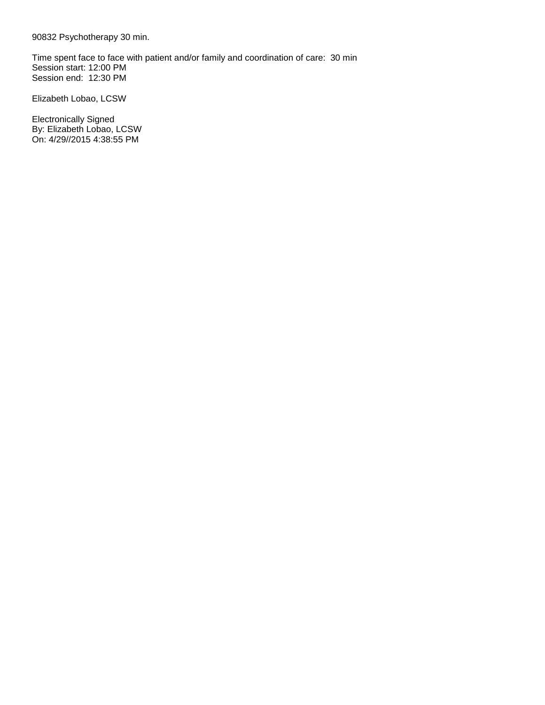90832 Psychotherapy 30 min.

Time spent face to face with patient and/or family and coordination of care: 30 min Session start: 12:00 PM Session end: 12:30 PM

Elizabeth Lobao, LCSW

**Electronically Signed** By: Elizabeth Lobao, LCSW On: 4/29//2015 4:38:55 PM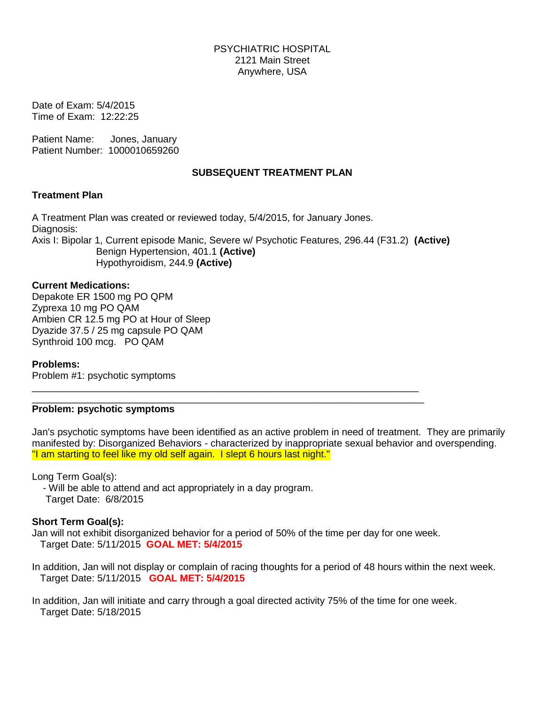Date of Exam: 5/4/2015 Time of Exam: 12:22:25

Patient Name: Jones, January Patient Number: 1000010659260

# **SUBSEQUENT TREATMENT PLAN**

## **Treatment Plan**

A Treatment Plan was created or reviewed today, 5/4/2015, for January Jones. Diagnosis: Axis I: Bipolar 1, Current episode Manic, Severe w/ Psychotic Features, 296.44 (F31.2) (Active) Benign Hypertension, 401.1 (Active) Hypothyroidism, 244.9 (Active)

# **Current Medications:**

Depakote ER 1500 mg PO QPM Zyprexa 10 mg PO QAM Ambien CR 12.5 mg PO at Hour of Sleep Dyazide 37.5 / 25 mg capsule PO QAM Synthroid 100 mcg. PO QAM

## **Problems:**

Problem #1: psychotic symptoms

## Problem: psychotic symptoms

Jan's psychotic symptoms have been identified as an active problem in need of treatment. They are primarily manifested by: Disorganized Behaviors - characterized by inappropriate sexual behavior and overspending. "I am starting to feel like my old self again. I slept 6 hours last night."

Long Term Goal(s):

- Will be able to attend and act appropriately in a day program. Target Date: 6/8/2015

# **Short Term Goal(s):**

Jan will not exhibit disorganized behavior for a period of 50% of the time per day for one week. Target Date: 5/11/2015 **GOAL MET: 5/4/2015** 

In addition, Jan will not display or complain of racing thoughts for a period of 48 hours within the next week. Target Date: 5/11/2015 GOAL MET: 5/4/2015

In addition, Jan will initiate and carry through a goal directed activity 75% of the time for one week. Target Date: 5/18/2015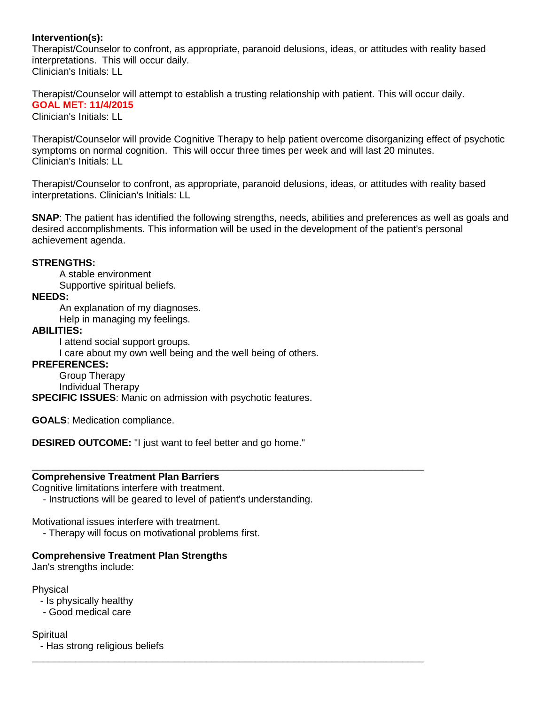# Intervention(s):

Therapist/Counselor to confront, as appropriate, paranoid delusions, ideas, or attitudes with reality based interpretations. This will occur daily. Clinician's Initials: LL

Therapist/Counselor will attempt to establish a trusting relationship with patient. This will occur daily, **GOAL MET: 11/4/2015** 

Clinician's Initials: LL

Therapist/Counselor will provide Cognitive Therapy to help patient overcome disorganizing effect of psychotic symptoms on normal cognition. This will occur three times per week and will last 20 minutes. Clinician's Initials: LL

Therapist/Counselor to confront, as appropriate, paranoid delusions, ideas, or attitudes with reality based interpretations. Clinician's Initials: LL

**SNAP**: The patient has identified the following strengths, needs, abilities and preferences as well as goals and desired accomplishments. This information will be used in the development of the patient's personal achievement agenda.

## **STRENGTHS:**

A stable environment

Supportive spiritual beliefs.

# **NEEDS:**

An explanation of my diagnoses. Help in managing my feelings.

# **ABILITIES:**

I attend social support groups.

I care about my own well being and the well being of others.

# **PREFERENCES:**

Group Therapy Individual Therapy

**SPECIFIC ISSUES:** Manic on admission with psychotic features.

**GOALS: Medication compliance.** 

**DESIRED OUTCOME:** "I just want to feel better and go home."

## **Comprehensive Treatment Plan Barriers**

Cognitive limitations interfere with treatment.

- Instructions will be geared to level of patient's understanding.

Motivational issues interfere with treatment.

- Therapy will focus on motivational problems first.

# **Comprehensive Treatment Plan Strengths**

Jan's strengths include:

Physical

- Is physically healthy
- Good medical care
- Spiritual - Has strong religious beliefs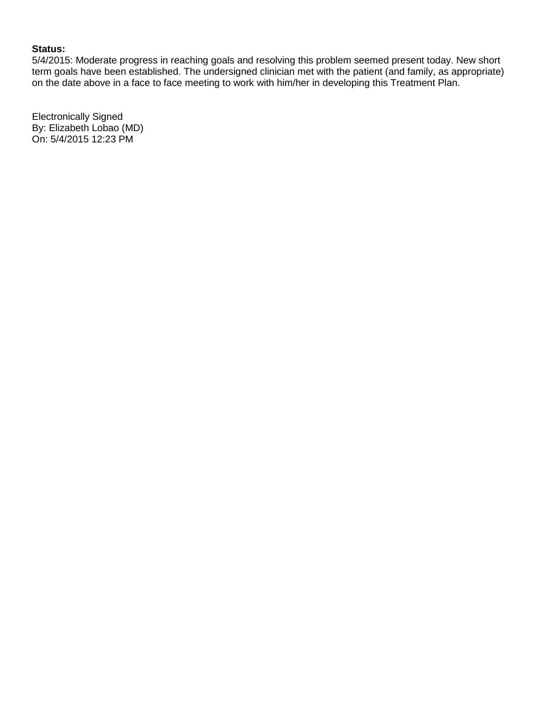## **Status:**

5/4/2015: Moderate progress in reaching goals and resolving this problem seemed present today. New short term goals have been established. The undersigned clinician met with the patient (and family, as appropriate) on the date above in a face to face meeting to work with him/her in developing this Treatment Plan.

**Electronically Signed** By: Elizabeth Lobao (MD) On: 5/4/2015 12:23 PM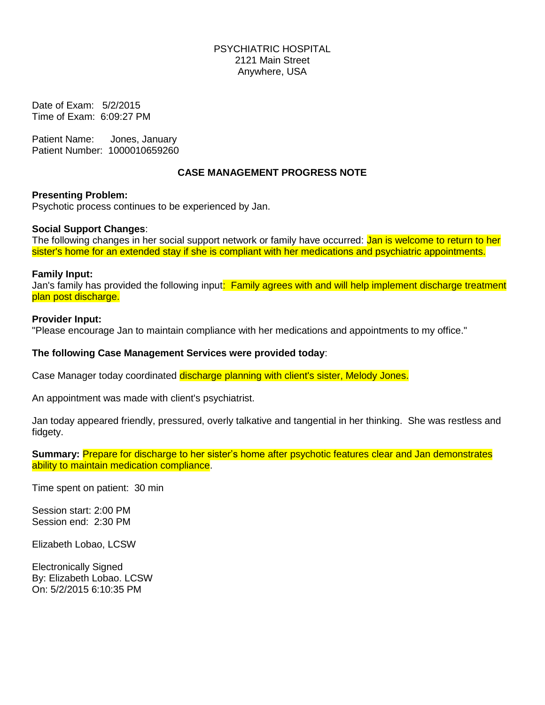Date of Exam: 5/2/2015 Time of Exam: 6:09:27 PM

Patient Name: Jones, January Patient Number: 1000010659260

# **CASE MANAGEMENT PROGRESS NOTE**

## **Presenting Problem:**

Psychotic process continues to be experienced by Jan.

#### **Social Support Changes:**

The following changes in her social support network or family have occurred: Jan is welcome to return to her sister's home for an extended stay if she is compliant with her medications and psychiatric appointments.

#### **Family Input:**

Jan's family has provided the following input: Family agrees with and will help implement discharge treatment plan post discharge.

#### **Provider Input:**

"Please encourage Jan to maintain compliance with her medications and appointments to my office."

## The following Case Management Services were provided today:

Case Manager today coordinated discharge planning with client's sister, Melody Jones.

An appointment was made with client's psychiatrist.

Jan today appeared friendly, pressured, overly talkative and tangential in her thinking. She was restless and fidgety.

Summary: Prepare for discharge to her sister's home after psychotic features clear and Jan demonstrates ability to maintain medication compliance.

Time spent on patient: 30 min

Session start: 2:00 PM Session end: 2:30 PM

Elizabeth Lobao, LCSW

**Electronically Signed** By: Elizabeth Lobao. LCSW On: 5/2/2015 6:10:35 PM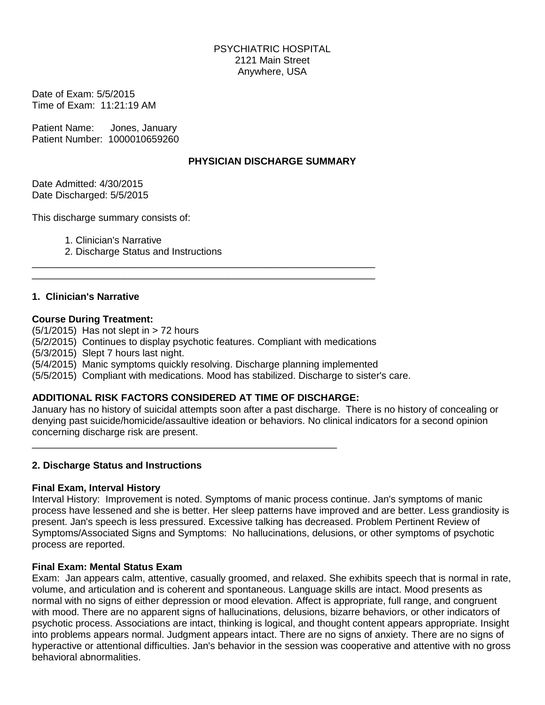Date of Exam: 5/5/2015 Time of Exam: 11:21:19 AM

Patient Name: Jones, January Patient Number: 1000010659260

# PHYSICIAN DISCHARGE SUMMARY

Date Admitted: 4/30/2015 Date Discharged: 5/5/2015

This discharge summary consists of:

1. Clinician's Narrative

2. Discharge Status and Instructions

# 1. Clinician's Narrative

## **Course During Treatment:**

 $(5/1/2015)$  Has not slept in  $> 72$  hours (5/2/2015) Continues to display psychotic features. Compliant with medications (5/3/2015) Slept 7 hours last night. (5/4/2015) Manic symptoms quickly resolving. Discharge planning implemented (5/5/2015) Compliant with medications. Mood has stabilized. Discharge to sister's care.

# ADDITIONAL RISK FACTORS CONSIDERED AT TIME OF DISCHARGE:

January has no history of suicidal attempts soon after a past discharge. There is no history of concealing or denying past suicide/homicide/assaultive ideation or behaviors. No clinical indicators for a second opinion concerning discharge risk are present.

## 2. Discharge Status and Instructions

## **Final Exam, Interval History**

Interval History: Improvement is noted. Symptoms of manic process continue. Jan's symptoms of manic process have lessened and she is better. Her sleep patterns have improved and are better. Less grandiosity is present. Jan's speech is less pressured. Excessive talking has decreased. Problem Pertinent Review of Symptoms/Associated Signs and Symptoms: No hallucinations, delusions, or other symptoms of psychotic process are reported.

## **Final Exam: Mental Status Exam**

Exam: Jan appears calm. attentive, casually groomed, and relaxed. She exhibits speech that is normal in rate, volume, and articulation and is coherent and spontaneous. Language skills are intact. Mood presents as normal with no signs of either depression or mood elevation. Affect is appropriate, full range, and congruent with mood. There are no apparent signs of hallucinations, delusions, bizarre behaviors, or other indicators of psychotic process. Associations are intact, thinking is logical, and thought content appears appropriate. Insight into problems appears normal. Judgment appears intact. There are no signs of anxiety. There are no signs of hyperactive or attentional difficulties. Jan's behavior in the session was cooperative and attentive with no gross behavioral abnormalities.